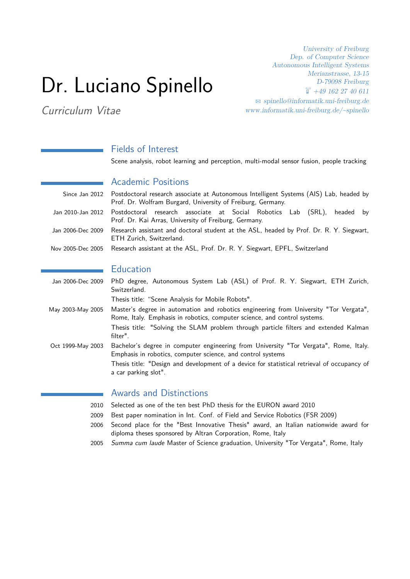# Dr. Luciano Spinello

Curriculum Vitae

University of Freiburg Dep. of Computer Science Autonomous Intelligent Systems Merianstrasse, 13-15 D-79098 Freiburg  $\stackrel{\text{\tiny (3)}}{1}$  +49 162 27 40 611  $\otimes$  [spinello@informatik.uni-freiburg.de](mailto:spinello@informatik.uni-freiburg.de) www.informatik.uni-freiburg.de/~spinello

# Fields of Interest

Scene analysis, robot learning and perception, multi-modal sensor fusion, people tracking

#### Academic Positions

| Since Jan 2012 Postdoctoral research associate at Autonomous Intelligent Systems (AIS) Lab, headed by<br>Prof. Dr. Wolfram Burgard, University of Freiburg, Germany. |
|----------------------------------------------------------------------------------------------------------------------------------------------------------------------|
| Jan 2010-Jan 2012 Postdoctoral research associate at Social Robotics Lab (SRL), headed by<br>Prof. Dr. Kai Arras, University of Freiburg, Germany.                   |
| Jan 2006-Dec 2009 Research assistant and doctoral student at the ASL, headed by Prof. Dr. R. Y. Siegwart,<br>ETH Zurich, Switzerland.                                |
| Nov 2005-Dec 2005 Research assistant at the ASL, Prof. Dr. R. Y. Siegwart, EPFL, Switzerland                                                                         |

#### **Education**

| Jan 2006-Dec 2009 | PhD degree, Autonomous System Lab (ASL) of Prof. R. Y. Siegwart, ETH Zurich,<br>Switzerland.                                                                       |
|-------------------|--------------------------------------------------------------------------------------------------------------------------------------------------------------------|
|                   | Thesis title: "Scene Analysis for Mobile Robots".                                                                                                                  |
| May 2003-May 2005 | Master's degree in automation and robotics engineering from University "Tor Vergata",<br>Rome, Italy. Emphasis in robotics, computer science, and control systems. |
|                   | Thesis title: "Solving the SLAM problem through particle filters and extended Kalman<br>filter".                                                                   |
| Oct 1999-May 2003 | Bachelor's degree in computer engineering from University "Tor Vergata", Rome, Italy.<br>Emphasis in robotics, computer science, and control systems               |
|                   | Thesis title: "Design and development of a device for statistical retrieval of occupancy of<br>a car parking slot".                                                |
|                   |                                                                                                                                                                    |

# Awards and Distinctions

- 2010 Selected as one of the ten best PhD thesis for the EURON award 2010
- 2009 Best paper nomination in Int. Conf. of Field and Service Robotics (FSR 2009)
- 2006 Second place for the "Best Innovative Thesis" award, an Italian nationwide award for diploma theses sponsored by Altran Corporation, Rome, Italy
- 2005 Summa cum laude Master of Science graduation, University "Tor Vergata", Rome, Italy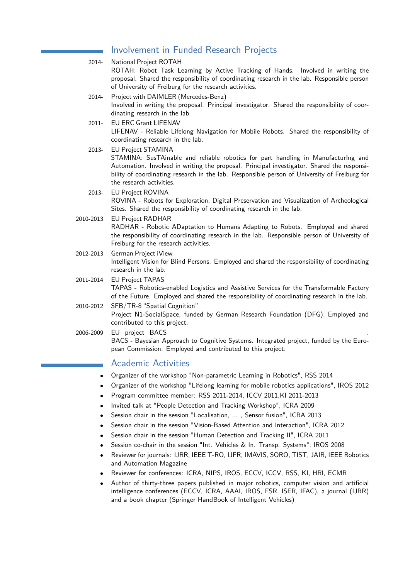# Involvement in Funded Research Projects

| 2014-     | National Project ROTAH<br>ROTAH: Robot Task Learning by Active Tracking of Hands. Involved in writing the                                                                                                                                                                                                                                |
|-----------|------------------------------------------------------------------------------------------------------------------------------------------------------------------------------------------------------------------------------------------------------------------------------------------------------------------------------------------|
|           | proposal. Shared the responsibility of coordinating research in the lab. Responsible person<br>of University of Freiburg for the research activities.                                                                                                                                                                                    |
| 2014-     | Project with DAIMLER (Mercedes-Benz)<br>Involved in writing the proposal. Principal investigator. Shared the responsibility of coor-<br>dinating research in the lab.                                                                                                                                                                    |
| $2011 -$  | <b>EU ERC Grant LIFENAV</b><br>LIFENAV - Reliable Lifelong Navigation for Mobile Robots. Shared the responsibility of<br>coordinating research in the lab.                                                                                                                                                                               |
| 2013-     | <b>EU Project STAMINA</b><br>STAMINA: SusTAinable and reliable robotics for part handling in ManufacturIng and<br>Automation. Involved in writing the proposal. Principal investigator. Shared the responsi-<br>bility of coordinating research in the lab. Responsible person of University of Freiburg for<br>the research activities. |
| 2013-     | EU Project ROVINA<br>ROVINA - Robots for Exploration, Digital Preservation and Visualization of Archeological<br>Sites. Shared the responsibility of coordinating research in the lab.                                                                                                                                                   |
| 2010-2013 | <b>EU Project RADHAR</b><br>RADHAR - Robotic ADaptation to Humans Adapting to Robots. Employed and shared<br>the responsibility of coordinating research in the lab. Responsible person of University of<br>Freiburg for the research activities.                                                                                        |
| 2012-2013 | German Project iView<br>Intelligent Vision for Blind Persons. Employed and shared the responsibility of coordinating<br>research in the lab.                                                                                                                                                                                             |
| 2011-2014 | <b>EU Project TAPAS</b><br>TAPAS - Robotics-enabled Logistics and Assistive Services for the Transformable Factory<br>of the Future. Employed and shared the responsibility of coordinating research in the lab.                                                                                                                         |
| 2010-2012 | SFB/TR-8 "Spatial Cognition"<br>Project N1-SocialSpace, funded by German Research Foundation (DFG). Employed and<br>contributed to this project.                                                                                                                                                                                         |
| 2006-2009 | EU project BACS<br>BACS - Bayesian Approach to Cognitive Systems. Integrated project, funded by the Euro-<br>pean Commission. Employed and contributed to this project.                                                                                                                                                                  |
|           |                                                                                                                                                                                                                                                                                                                                          |

#### Academic Activities

- Organizer of the workshop "Non-parametric Learning in Robotics", RSS 2014
- Organizer of the workshop "Lifelong learning for mobile robotics applications", IROS 2012
- Program committee member: RSS 2011-2014, ICCV 2011,KI 2011-2013
- Invited talk at "People Detection and Tracking Workshop", ICRA 2009
- Session chair in the session "Localisation, ..., Sensor fusion", ICRA 2013
- Session chair in the session "Vision-Based Attention and Interaction", ICRA 2012
- Session chair in the session "Human Detection and Tracking II", ICRA 2011
- Session co-chair in the session "Int. Vehicles & In. Transp. Systems", IROS 2008
- Reviewer for journals: IJRR, IEEE T-RO, IJFR, IMAVIS, SORO, TIST, JAIR, IEEE Robotics and Automation Magazine
- Reviewer for conferences: ICRA, NIPS, IROS, ECCV, ICCV, RSS, KI, HRI, ECMR
- Author of thirty-three papers published in major robotics, computer vision and artificial intelligence conferences (ECCV, ICRA, AAAI, IROS, FSR, ISER, IFAC), a journal (IJRR) and a book chapter (Springer HandBook of Intelligent Vehicles)